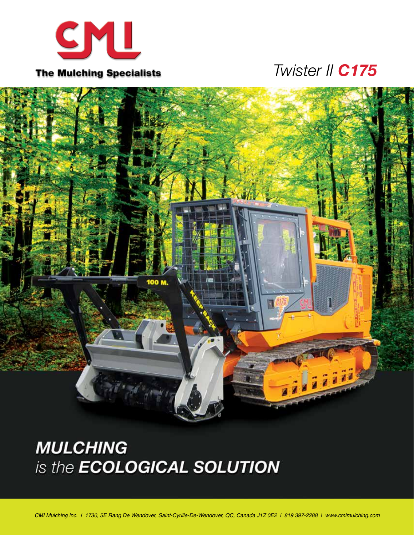

## *Twister II C175*



# **MULCHING** is the **ECOLOGICAL SOLUTION**